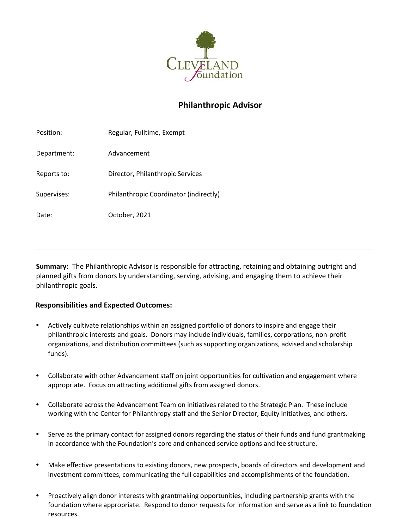

# **Philanthropic Advisor**

| Position:   | Regular, Fulltime, Exempt              |
|-------------|----------------------------------------|
| Department: | Advancement                            |
| Reports to: | Director, Philanthropic Services       |
| Supervises: | Philanthropic Coordinator (indirectly) |
| Date:       | October, 2021                          |
|             |                                        |

**Summary:** The Philanthropic Advisor is responsible for attracting, retaining and obtaining outright and planned gifts from donors by understanding, serving, advising, and engaging them to achieve their philanthropic goals.

## **Responsibilities and Expected Outcomes:**

- Actively cultivate relationships within an assigned portfolio of donors to inspire and engage their philanthropic interests and goals. Donors may include individuals, families, corporations, non-profit organizations, and distribution committees (such as supporting organizations, advised and scholarship funds).
- Collaborate with other Advancement staff on joint opportunities for cultivation and engagement where appropriate. Focus on attracting additional gifts from assigned donors.
- Collaborate across the Advancement Team on initiatives related to the Strategic Plan. These include working with the Center for Philanthropy staff and the Senior Director, Equity Initiatives, and others.
- Serve as the primary contact for assigned donors regarding the status of their funds and fund grantmaking in accordance with the Foundation's core and enhanced service options and fee structure.
- Make effective presentations to existing donors, new prospects, boards of directors and development and investment committees, communicating the full capabilities and accomplishments of the foundation.
- Proactively align donor interests with grantmaking opportunities, including partnership grants with the foundation where appropriate. Respond to donor requests for information and serve as a link to foundation resources.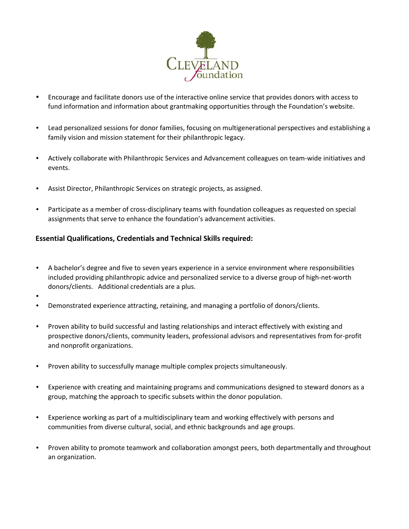

- Encourage and facilitate donors use of the interactive online service that provides donors with access to fund information and information about grantmaking opportunities through the Foundation's website.
- Lead personalized sessions for donor families, focusing on multigenerational perspectives and establishing a family vision and mission statement for their philanthropic legacy.
- Actively collaborate with Philanthropic Services and Advancement colleagues on team-wide initiatives and events.
- Assist Director, Philanthropic Services on strategic projects, as assigned.
- Participate as a member of cross-disciplinary teams with foundation colleagues as requested on special assignments that serve to enhance the foundation's advancement activities.

### **Essential Qualifications, Credentials and Technical Skills required:**

- A bachelor's degree and five to seven years experience in a service environment where responsibilities included providing philanthropic advice and personalized service to a diverse group of high-net-worth donors/clients. Additional credentials are a plus.
- •
- Demonstrated experience attracting, retaining, and managing a portfolio of donors/clients.
- Proven ability to build successful and lasting relationships and interact effectively with existing and prospective donors/clients, community leaders, professional advisors and representatives from for-profit and nonprofit organizations.
- Proven ability to successfully manage multiple complex projects simultaneously.
- Experience with creating and maintaining programs and communications designed to steward donors as a group, matching the approach to specific subsets within the donor population.
- Experience working as part of a multidisciplinary team and working effectively with persons and communities from diverse cultural, social, and ethnic backgrounds and age groups.
- Proven ability to promote teamwork and collaboration amongst peers, both departmentally and throughout an organization.